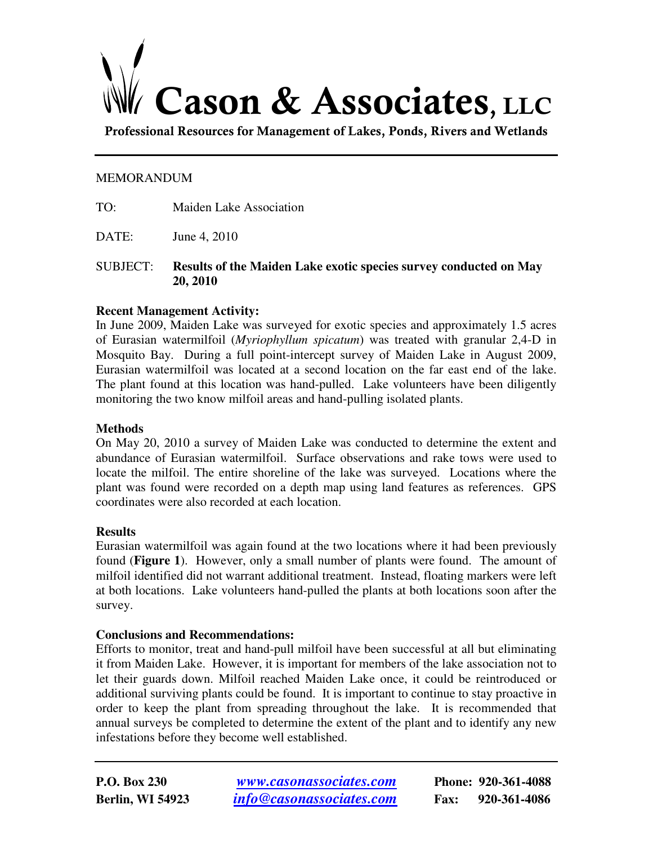

Professional Resources for Management of Lakes, Ponds, Rivers and Wetlands

## MEMORANDUM

- TO: Maiden Lake Association
- DATE: June 4, 2010
- SUBJECT: **Results of the Maiden Lake exotic species survey conducted on May 20, 2010**

# **Recent Management Activity:**

In June 2009, Maiden Lake was surveyed for exotic species and approximately 1.5 acres of Eurasian watermilfoil (*Myriophyllum spicatum*) was treated with granular 2,4-D in Mosquito Bay. During a full point-intercept survey of Maiden Lake in August 2009, Eurasian watermilfoil was located at a second location on the far east end of the lake. The plant found at this location was hand-pulled. Lake volunteers have been diligently monitoring the two know milfoil areas and hand-pulling isolated plants.

# **Methods**

On May 20, 2010 a survey of Maiden Lake was conducted to determine the extent and abundance of Eurasian watermilfoil. Surface observations and rake tows were used to locate the milfoil. The entire shoreline of the lake was surveyed. Locations where the plant was found were recorded on a depth map using land features as references. GPS coordinates were also recorded at each location.

# **Results**

Eurasian watermilfoil was again found at the two locations where it had been previously found (**Figure 1**). However, only a small number of plants were found. The amount of milfoil identified did not warrant additional treatment. Instead, floating markers were left at both locations. Lake volunteers hand-pulled the plants at both locations soon after the survey.

# **Conclusions and Recommendations:**

Efforts to monitor, treat and hand-pull milfoil have been successful at all but eliminating it from Maiden Lake. However, it is important for members of the lake association not to let their guards down. Milfoil reached Maiden Lake once, it could be reintroduced or additional surviving plants could be found. It is important to continue to stay proactive in order to keep the plant from spreading throughout the lake. It is recommended that annual surveys be completed to determine the extent of the plant and to identify any new infestations before they become well established.

**P.O. Box 230** *www.casonassociates.com* **Phone: 920-361-4088 Berlin, WI 54923** *info@casonassociates.com* **Fax: 920-361-4086**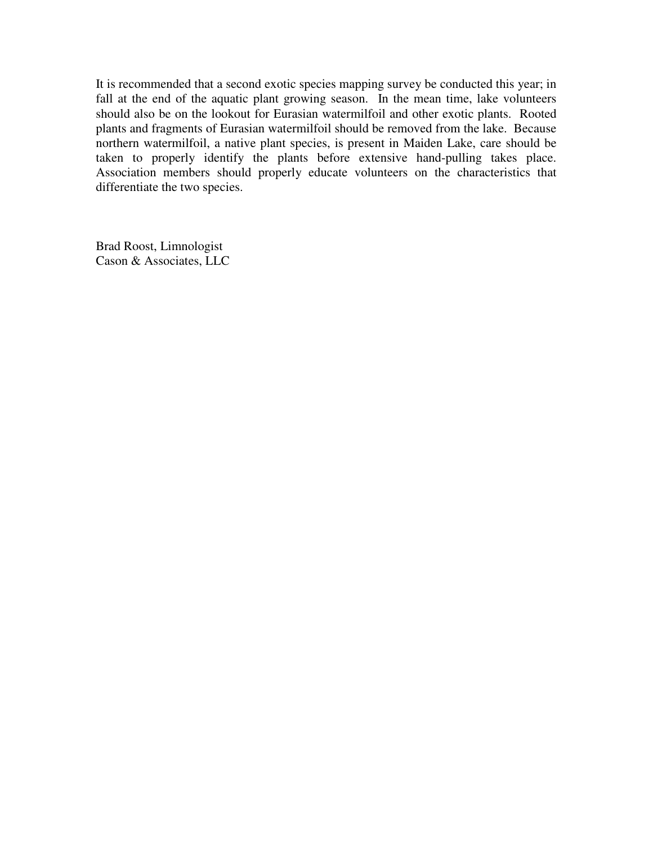It is recommended that a second exotic species mapping survey be conducted this year; in fall at the end of the aquatic plant growing season. In the mean time, lake volunteers should also be on the lookout for Eurasian watermilfoil and other exotic plants. Rooted plants and fragments of Eurasian watermilfoil should be removed from the lake. Because northern watermilfoil, a native plant species, is present in Maiden Lake, care should be taken to properly identify the plants before extensive hand-pulling takes place. Association members should properly educate volunteers on the characteristics that differentiate the two species.

Brad Roost, Limnologist Cason & Associates, LLC